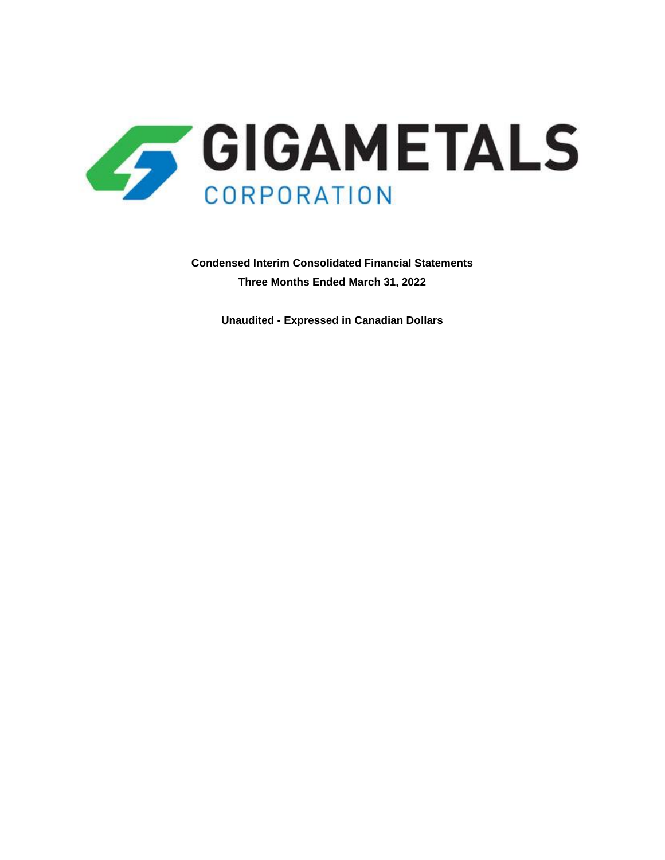

**Condensed Interim Consolidated Financial Statements Three Months Ended March 31, 2022**

**Unaudited - Expressed in Canadian Dollars**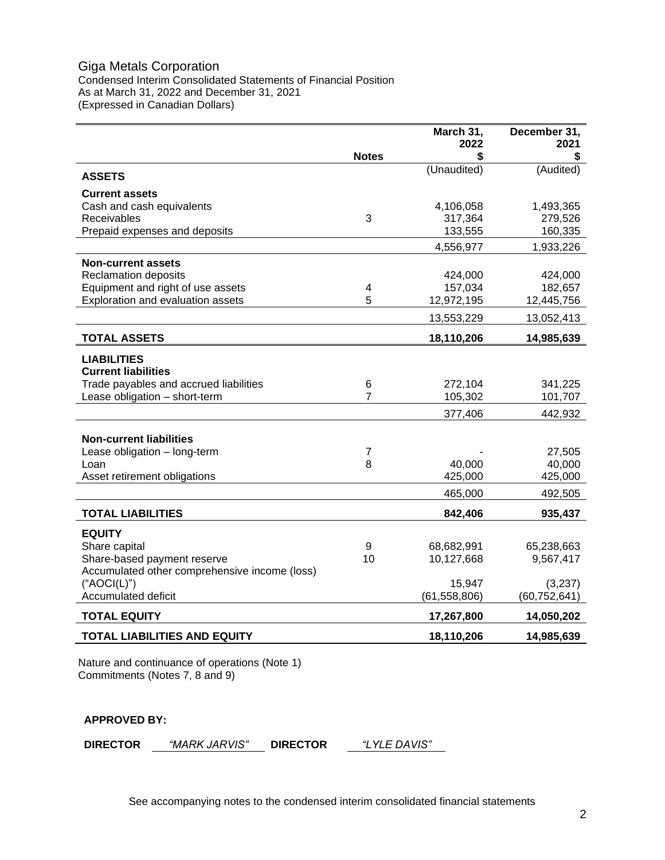# Giga Metals Corporation Condensed Interim Consolidated Statements of Financial Position As at March 31, 2022 and December 31, 2021 (Expressed in Canadian Dollars)

|                                               |              | March 31,<br>2022 | December 31,<br>2021 |
|-----------------------------------------------|--------------|-------------------|----------------------|
|                                               | <b>Notes</b> | \$                | \$                   |
| <b>ASSETS</b>                                 |              | (Unaudited)       | (Audited)            |
| <b>Current assets</b>                         |              |                   |                      |
| Cash and cash equivalents                     |              | 4,106,058         | 1,493,365            |
| Receivables                                   | 3            | 317,364           | 279,526              |
| Prepaid expenses and deposits                 |              | 133,555           | 160,335              |
|                                               |              | 4,556,977         | 1,933,226            |
| <b>Non-current assets</b>                     |              |                   |                      |
| <b>Reclamation deposits</b>                   |              | 424,000           | 424,000              |
| Equipment and right of use assets             | 4            | 157,034           | 182,657              |
| Exploration and evaluation assets             | 5            | 12,972,195        | 12,445,756           |
|                                               |              | 13,553,229        | 13,052,413           |
| <b>TOTAL ASSETS</b>                           |              | 18,110,206        | 14,985,639           |
| <b>LIABILITIES</b>                            |              |                   |                      |
| <b>Current liabilities</b>                    |              |                   |                      |
| Trade payables and accrued liabilities        | 6            | 272,104           | 341,225              |
| Lease obligation - short-term                 | 7            | 105,302           | 101,707              |
|                                               |              | 377,406           | 442,932              |
|                                               |              |                   |                      |
| <b>Non-current liabilities</b>                |              |                   |                      |
| Lease obligation - long-term<br>Loan          | 7<br>8       | 40,000            | 27,505<br>40,000     |
| Asset retirement obligations                  |              | 425,000           | 425,000              |
|                                               |              |                   |                      |
|                                               |              | 465,000           | 492,505              |
| <b>TOTAL LIABILITIES</b>                      |              | 842,406           | 935,437              |
| <b>EQUITY</b>                                 |              |                   |                      |
| Share capital                                 | 9            | 68,682,991        | 65,238,663           |
| Share-based payment reserve                   | 10           | 10,127,668        | 9,567,417            |
| Accumulated other comprehensive income (loss) |              |                   |                      |
| ("AOCI(L)")                                   |              | 15,947            | (3,237)              |
| Accumulated deficit                           |              | (61, 558, 806)    | (60, 752, 641)       |
| <b>TOTAL EQUITY</b>                           |              | 17,267,800        | 14,050,202           |
| <b>TOTAL LIABILITIES AND EQUITY</b>           |              | 18,110,206        | 14,985,639           |

Nature and continuance of operations (Note 1) Commitments (Notes 7, 8 and 9)

## **APPROVED BY:**

**DIRECTOR** *"MARK JARVIS"*

**DIRECTOR** *"LYLE DAVIS"*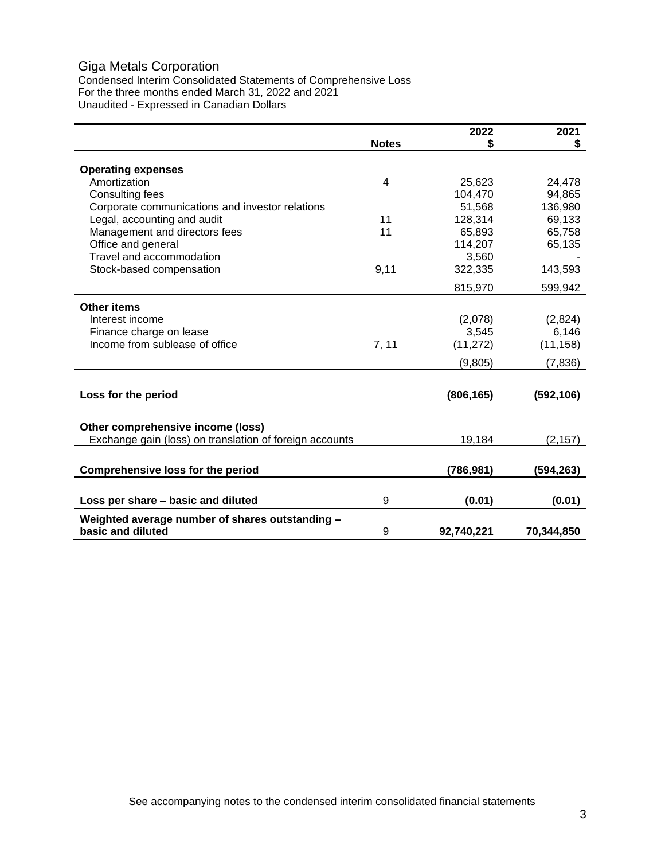# Giga Metals Corporation

Condensed Interim Consolidated Statements of Comprehensive Loss For the three months ended March 31, 2022 and 2021 Unaudited - Expressed in Canadian Dollars

|                                                         |              | 2022       | 2021       |
|---------------------------------------------------------|--------------|------------|------------|
|                                                         | <b>Notes</b> | \$         | \$         |
|                                                         |              |            |            |
| <b>Operating expenses</b>                               |              |            |            |
| Amortization                                            | 4            | 25,623     | 24,478     |
| Consulting fees                                         |              | 104,470    | 94,865     |
| Corporate communications and investor relations         |              | 51,568     | 136,980    |
| Legal, accounting and audit                             | 11           | 128,314    | 69,133     |
| Management and directors fees                           | 11           | 65,893     | 65,758     |
| Office and general                                      |              | 114,207    | 65,135     |
| Travel and accommodation                                |              | 3,560      |            |
| Stock-based compensation                                | 9,11         | 322,335    | 143,593    |
|                                                         |              | 815,970    | 599,942    |
| <b>Other items</b>                                      |              |            |            |
| Interest income                                         |              | (2,078)    | (2,824)    |
| Finance charge on lease                                 |              | 3,545      | 6,146      |
| Income from sublease of office                          | 7, 11        | (11, 272)  | (11, 158)  |
|                                                         |              | (9,805)    | (7, 836)   |
|                                                         |              |            |            |
| Loss for the period                                     |              | (806,165)  | (592, 106) |
|                                                         |              |            |            |
| Other comprehensive income (loss)                       |              |            |            |
| Exchange gain (loss) on translation of foreign accounts |              | 19,184     | (2, 157)   |
|                                                         |              |            |            |
| <b>Comprehensive loss for the period</b>                |              | (786,981)  | (594,263)  |
|                                                         |              |            |            |
| Loss per share – basic and diluted                      | 9            | (0.01)     | (0.01)     |
| Weighted average number of shares outstanding -         |              |            |            |
| basic and diluted                                       | 9            | 92,740,221 | 70,344,850 |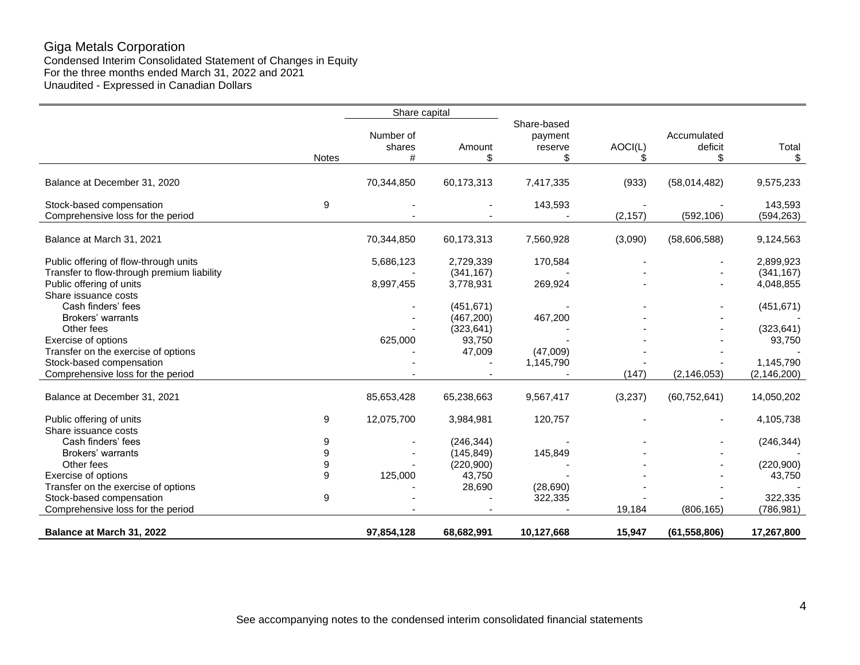# Giga Metals Corporation

Condensed Interim Consolidated Statement of Changes in Equity For the three months ended March 31, 2022 and 2021 Unaudited - Expressed in Canadian Dollars

|                                                                                                |                  | Share capital            |                          |                                         |          |                              |                            |
|------------------------------------------------------------------------------------------------|------------------|--------------------------|--------------------------|-----------------------------------------|----------|------------------------------|----------------------------|
|                                                                                                | <b>Notes</b>     | Number of<br>shares<br># | Amount<br>\$             | Share-based<br>payment<br>reserve<br>\$ | AOCI(L)  | Accumulated<br>deficit<br>\$ | Total<br>\$                |
| Balance at December 31, 2020                                                                   |                  | 70,344,850               | 60,173,313               | 7,417,335                               | (933)    | (58,014,482)                 | 9,575,233                  |
| Stock-based compensation<br>Comprehensive loss for the period                                  | 9                |                          |                          | 143,593                                 | (2, 157) | (592, 106)                   | 143,593<br>(594, 263)      |
| Balance at March 31, 2021                                                                      |                  | 70,344,850               | 60,173,313               | 7,560,928                               | (3,090)  | (58,606,588)                 | 9,124,563                  |
| Public offering of flow-through units                                                          |                  | 5,686,123                | 2,729,339                | 170,584                                 |          |                              | 2,899,923                  |
| Transfer to flow-through premium liability<br>Public offering of units<br>Share issuance costs |                  | 8,997,455                | (341, 167)<br>3,778,931  | 269,924                                 |          |                              | (341, 167)<br>4,048,855    |
| Cash finders' fees<br>Brokers' warrants                                                        |                  |                          | (451, 671)<br>(467, 200) | 467,200                                 |          |                              | (451, 671)                 |
| Other fees                                                                                     |                  |                          | (323, 641)               |                                         |          |                              | (323, 641)                 |
| Exercise of options<br>Transfer on the exercise of options                                     |                  | 625,000                  | 93,750<br>47,009         | (47,009)                                |          |                              | 93,750                     |
| Stock-based compensation<br>Comprehensive loss for the period                                  |                  |                          |                          | 1,145,790                               | (147)    | (2, 146, 053)                | 1,145,790<br>(2, 146, 200) |
| Balance at December 31, 2021                                                                   |                  | 85,653,428               | 65,238,663               | 9,567,417                               | (3,237)  | (60, 752, 641)               | 14,050,202                 |
| Public offering of units<br>Share issuance costs                                               | 9                | 12,075,700               | 3,984,981                | 120,757                                 |          |                              | 4,105,738                  |
| Cash finders' fees                                                                             | 9                |                          | (246, 344)               |                                         |          |                              | (246, 344)                 |
| Brokers' warrants<br>Other fees                                                                | 9<br>9           |                          | (145, 849)<br>(220, 900) | 145,849                                 |          |                              | (220,900)                  |
| Exercise of options                                                                            | 9                | 125,000                  | 43,750                   |                                         |          |                              | 43,750                     |
| Transfer on the exercise of options<br>Stock-based compensation                                | $\boldsymbol{9}$ |                          | 28,690                   | (28,690)<br>322,335                     |          |                              | 322,335                    |
| Comprehensive loss for the period                                                              |                  |                          |                          |                                         | 19,184   | (806, 165)                   | (786, 981)                 |
| Balance at March 31, 2022                                                                      |                  | 97,854,128               | 68,682,991               | 10,127,668                              | 15,947   | (61, 558, 806)               | 17,267,800                 |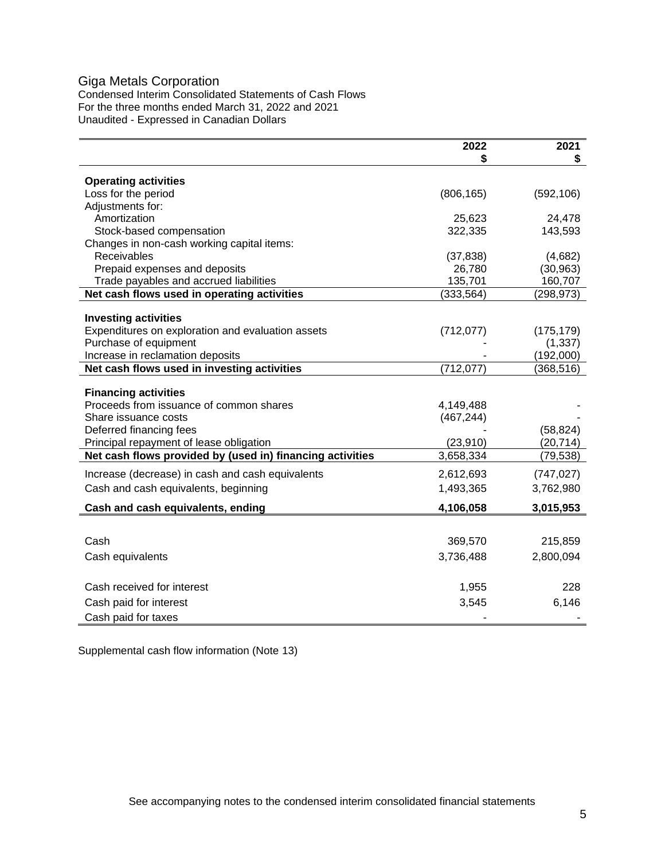# Giga Metals Corporation

Condensed Interim Consolidated Statements of Cash Flows For the three months ended March 31, 2022 and 2021 Unaudited - Expressed in Canadian Dollars

| \$<br><b>Operating activities</b><br>Loss for the period<br>(592, 106)<br>(806, 165) |
|--------------------------------------------------------------------------------------|
|                                                                                      |
|                                                                                      |
|                                                                                      |
| Adjustments for:                                                                     |
| Amortization<br>25,623<br>24,478                                                     |
| 143,593<br>Stock-based compensation<br>322,335                                       |
| Changes in non-cash working capital items:                                           |
| <b>Receivables</b><br>(37, 838)<br>(4,682)                                           |
| Prepaid expenses and deposits<br>26,780<br>(30, 963)                                 |
| Trade payables and accrued liabilities<br>135,701<br>160,707                         |
| Net cash flows used in operating activities<br>(333, 564)<br>(298, 973)              |
|                                                                                      |
| <b>Investing activities</b>                                                          |
| Expenditures on exploration and evaluation assets<br>(712, 077)<br>(175, 179)        |
| Purchase of equipment<br>(1, 337)                                                    |
| Increase in reclamation deposits<br>(192,000)                                        |
| Net cash flows used in investing activities<br>(712, 077)<br>(368, 516)              |
| <b>Financing activities</b>                                                          |
| Proceeds from issuance of common shares<br>4,149,488                                 |
| Share issuance costs<br>(467, 244)                                                   |
| Deferred financing fees<br>(58, 824)                                                 |
| (20, 714)<br>Principal repayment of lease obligation<br>(23, 910)                    |
| Net cash flows provided by (used in) financing activities<br>3,658,334<br>(79, 538)  |
| Increase (decrease) in cash and cash equivalents<br>2,612,693<br>(747, 027)          |
| Cash and cash equivalents, beginning<br>1,493,365<br>3,762,980                       |
|                                                                                      |
| Cash and cash equivalents, ending<br>4,106,058<br>3,015,953                          |
|                                                                                      |
| Cash<br>369,570<br>215,859                                                           |
| 2,800,094<br>Cash equivalents<br>3,736,488                                           |
|                                                                                      |
| Cash received for interest<br>1,955<br>228                                           |
| 6,146<br>Cash paid for interest<br>3,545                                             |
| Cash paid for taxes                                                                  |

Supplemental cash flow information (Note 13)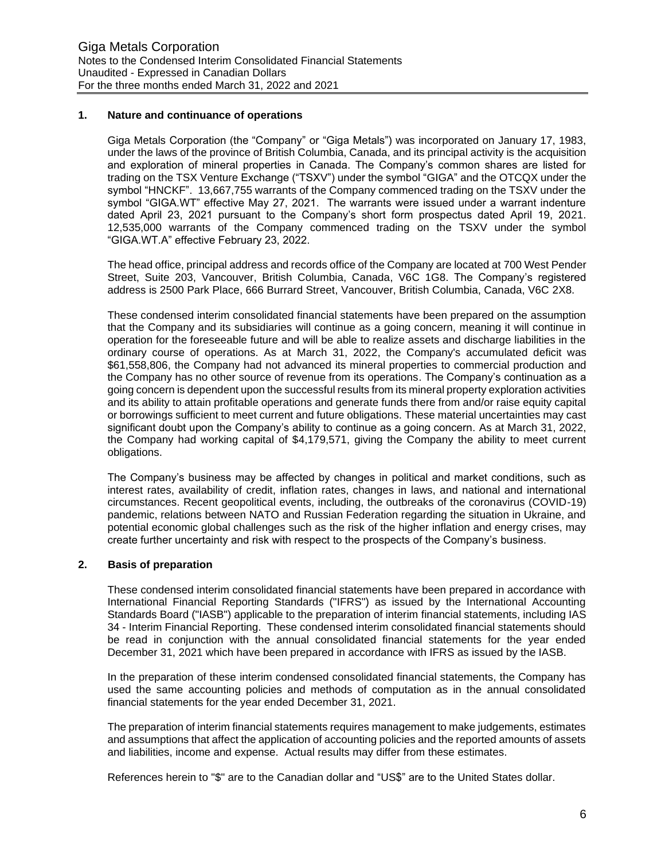## **1. Nature and continuance of operations**

Giga Metals Corporation (the "Company" or "Giga Metals") was incorporated on January 17, 1983, under the laws of the province of British Columbia, Canada, and its principal activity is the acquisition and exploration of mineral properties in Canada. The Company's common shares are listed for trading on the TSX Venture Exchange ("TSXV") under the symbol "GIGA" and the OTCQX under the symbol "HNCKF". 13,667,755 warrants of the Company commenced trading on the TSXV under the symbol "GIGA.WT" effective May 27, 2021. The warrants were issued under a warrant indenture dated April 23, 2021 pursuant to the Company's short form prospectus dated April 19, 2021. 12,535,000 warrants of the Company commenced trading on the TSXV under the symbol "GIGA.WT.A" effective February 23, 2022.

The head office, principal address and records office of the Company are located at 700 West Pender Street, Suite 203, Vancouver, British Columbia, Canada, V6C 1G8. The Company's registered address is 2500 Park Place, 666 Burrard Street, Vancouver, British Columbia, Canada, V6C 2X8.

These condensed interim consolidated financial statements have been prepared on the assumption that the Company and its subsidiaries will continue as a going concern, meaning it will continue in operation for the foreseeable future and will be able to realize assets and discharge liabilities in the ordinary course of operations. As at March 31, 2022, the Company's accumulated deficit was \$61,558,806, the Company had not advanced its mineral properties to commercial production and the Company has no other source of revenue from its operations. The Company's continuation as a going concern is dependent upon the successful results from its mineral property exploration activities and its ability to attain profitable operations and generate funds there from and/or raise equity capital or borrowings sufficient to meet current and future obligations. These material uncertainties may cast significant doubt upon the Company's ability to continue as a going concern. As at March 31, 2022, the Company had working capital of \$4,179,571, giving the Company the ability to meet current obligations.

The Company's business may be affected by changes in political and market conditions, such as interest rates, availability of credit, inflation rates, changes in laws, and national and international circumstances. Recent geopolitical events, including, the outbreaks of the coronavirus (COVID-19) pandemic, relations between NATO and Russian Federation regarding the situation in Ukraine, and potential economic global challenges such as the risk of the higher inflation and energy crises, may create further uncertainty and risk with respect to the prospects of the Company's business.

## **2. Basis of preparation**

These condensed interim consolidated financial statements have been prepared in accordance with International Financial Reporting Standards ("IFRS") as issued by the International Accounting Standards Board ("IASB") applicable to the preparation of interim financial statements, including IAS 34 - Interim Financial Reporting. These condensed interim consolidated financial statements should be read in conjunction with the annual consolidated financial statements for the year ended December 31, 2021 which have been prepared in accordance with IFRS as issued by the IASB.

In the preparation of these interim condensed consolidated financial statements, the Company has used the same accounting policies and methods of computation as in the annual consolidated financial statements for the year ended December 31, 2021.

The preparation of interim financial statements requires management to make judgements, estimates and assumptions that affect the application of accounting policies and the reported amounts of assets and liabilities, income and expense. Actual results may differ from these estimates.

References herein to "\$" are to the Canadian dollar and "US\$" are to the United States dollar.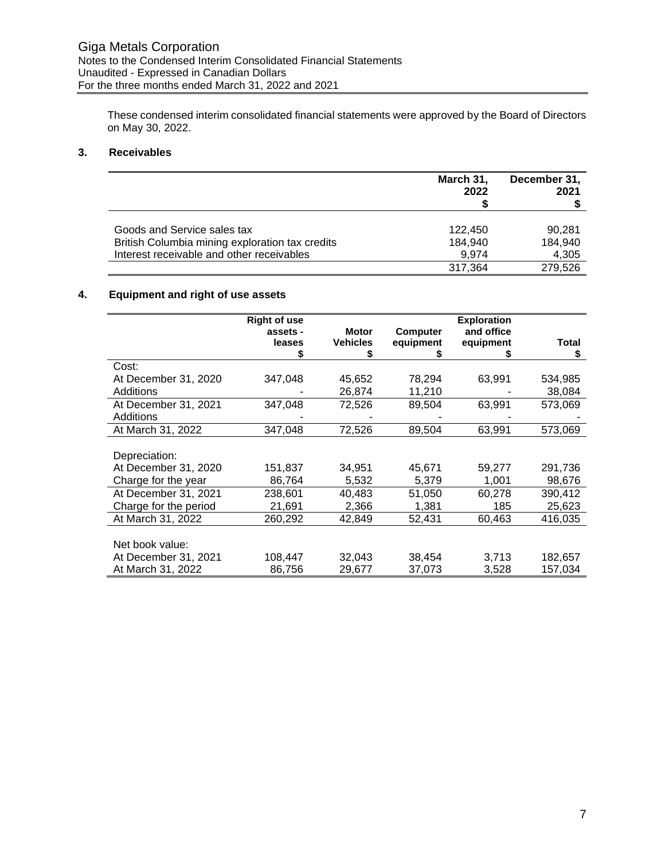These condensed interim consolidated financial statements were approved by the Board of Directors on May 30, 2022.

# **3. Receivables**

|                                                 | March 31,<br>2022 | December 31,<br>2021 |
|-------------------------------------------------|-------------------|----------------------|
| Goods and Service sales tax                     | 122.450           | 90.281               |
| British Columbia mining exploration tax credits | 184,940           | 184,940              |
| Interest receivable and other receivables       | 9.974             | 4,305                |
|                                                 | 317,364           | 279.526              |

# **4. Equipment and right of use assets**

|                       | <b>Right of use</b> |                 |                 | <b>Exploration</b> |         |
|-----------------------|---------------------|-----------------|-----------------|--------------------|---------|
|                       | assets -            | <b>Motor</b>    | <b>Computer</b> | and office         |         |
|                       | leases              | <b>Vehicles</b> | equipment       | equipment          | Total   |
|                       |                     |                 |                 |                    | \$      |
| Cost:                 |                     |                 |                 |                    |         |
| At December 31, 2020  | 347,048             | 45,652          | 78,294          | 63,991             | 534,985 |
| Additions             |                     | 26,874          | 11,210          |                    | 38,084  |
| At December 31, 2021  | 347,048             | 72,526          | 89,504          | 63,991             | 573,069 |
| Additions             |                     |                 |                 |                    |         |
| At March 31, 2022     | 347,048             | 72,526          | 89,504          | 63,991             | 573,069 |
|                       |                     |                 |                 |                    |         |
| Depreciation:         |                     |                 |                 |                    |         |
| At December 31, 2020  | 151,837             | 34,951          | 45,671          | 59,277             | 291,736 |
| Charge for the year   | 86,764              | 5,532           | 5,379           | 1,001              | 98,676  |
| At December 31, 2021  | 238,601             | 40,483          | 51,050          | 60,278             | 390,412 |
| Charge for the period | 21,691              | 2,366           | 1,381           | 185                | 25,623  |
| At March 31, 2022     | 260,292             | 42,849          | 52,431          | 60,463             | 416,035 |
|                       |                     |                 |                 |                    |         |
| Net book value:       |                     |                 |                 |                    |         |
| At December 31, 2021  | 108,447             | 32,043          | 38,454          | 3,713              | 182,657 |
| At March 31, 2022     | 86,756              | 29,677          | 37,073          | 3,528              | 157,034 |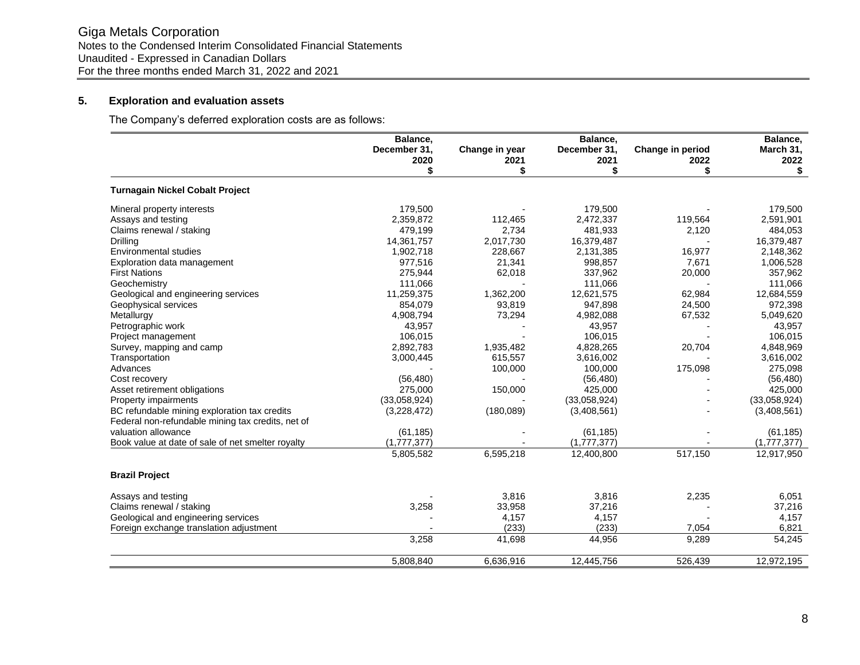# **5. Exploration and evaluation assets**

The Company's deferred exploration costs are as follows:

|                                                   | Balance,<br>December 31, |           | Balance,<br>Change in year<br>December 31,<br>Change in period |         |                   |
|---------------------------------------------------|--------------------------|-----------|----------------------------------------------------------------|---------|-------------------|
|                                                   | 2020                     | 2021      | 2021                                                           | 2022    | March 31,<br>2022 |
|                                                   | \$                       | \$        | \$                                                             | \$      | \$                |
| <b>Turnagain Nickel Cobalt Project</b>            |                          |           |                                                                |         |                   |
| Mineral property interests                        | 179,500                  |           | 179,500                                                        |         | 179,500           |
| Assays and testing                                | 2,359,872                | 112,465   | 2,472,337                                                      | 119,564 | 2,591,901         |
| Claims renewal / staking                          | 479,199                  | 2,734     | 481,933                                                        | 2,120   | 484,053           |
| Drilling                                          | 14,361,757               | 2,017,730 | 16,379,487                                                     |         | 16,379,487        |
| <b>Environmental studies</b>                      | 1,902,718                | 228,667   | 2,131,385                                                      | 16,977  | 2,148,362         |
| Exploration data management                       | 977,516                  | 21,341    | 998,857                                                        | 7,671   | 1,006,528         |
| <b>First Nations</b>                              | 275,944                  | 62,018    | 337,962                                                        | 20,000  | 357,962           |
| Geochemistry                                      | 111,066                  |           | 111,066                                                        |         | 111,066           |
| Geological and engineering services               | 11,259,375               | 1,362,200 | 12,621,575                                                     | 62,984  | 12,684,559        |
| Geophysical services                              | 854,079                  | 93,819    | 947,898                                                        | 24,500  | 972,398           |
| Metallurgy                                        | 4,908,794                | 73,294    | 4,982,088                                                      | 67,532  | 5,049,620         |
| Petrographic work                                 | 43,957                   |           | 43,957                                                         |         | 43.957            |
| Project management                                | 106,015                  |           | 106,015                                                        |         | 106,015           |
| Survey, mapping and camp                          | 2,892,783                | 1,935,482 | 4,828,265                                                      | 20,704  | 4,848,969         |
| Transportation                                    | 3,000,445                | 615,557   | 3,616,002                                                      |         | 3,616,002         |
| Advances                                          |                          | 100,000   | 100,000                                                        | 175,098 | 275,098           |
| Cost recovery                                     | (56, 480)                |           | (56, 480)                                                      |         | (56, 480)         |
| Asset retirement obligations                      | 275,000                  | 150,000   | 425,000                                                        |         | 425,000           |
| Property impairments                              | (33,058,924)             |           | (33,058,924)                                                   |         | (33,058,924)      |
| BC refundable mining exploration tax credits      | (3,228,472)              | (180,089) | (3,408,561)                                                    |         | (3,408,561)       |
| Federal non-refundable mining tax credits, net of |                          |           |                                                                |         |                   |
| valuation allowance                               | (61, 185)                |           | (61, 185)                                                      |         | (61, 185)         |
| Book value at date of sale of net smelter royalty | (1,777,377)              |           | (1,777,377)                                                    |         | (1,777,377)       |
|                                                   | 5,805,582                | 6,595,218 | 12,400,800                                                     | 517,150 | 12,917,950        |
| <b>Brazil Project</b>                             |                          |           |                                                                |         |                   |
| Assays and testing                                |                          | 3,816     | 3,816                                                          | 2,235   | 6,051             |
| Claims renewal / staking                          | 3,258                    | 33,958    | 37,216                                                         |         | 37,216            |
| Geological and engineering services               |                          | 4,157     | 4,157                                                          |         | 4,157             |
| Foreign exchange translation adjustment           |                          | (233)     | (233)                                                          | 7,054   | 6,821             |
|                                                   | 3,258                    | 41,698    | 44,956                                                         | 9,289   | 54,245            |
|                                                   | 5,808,840                | 6,636,916 | 12,445,756                                                     | 526,439 | 12,972,195        |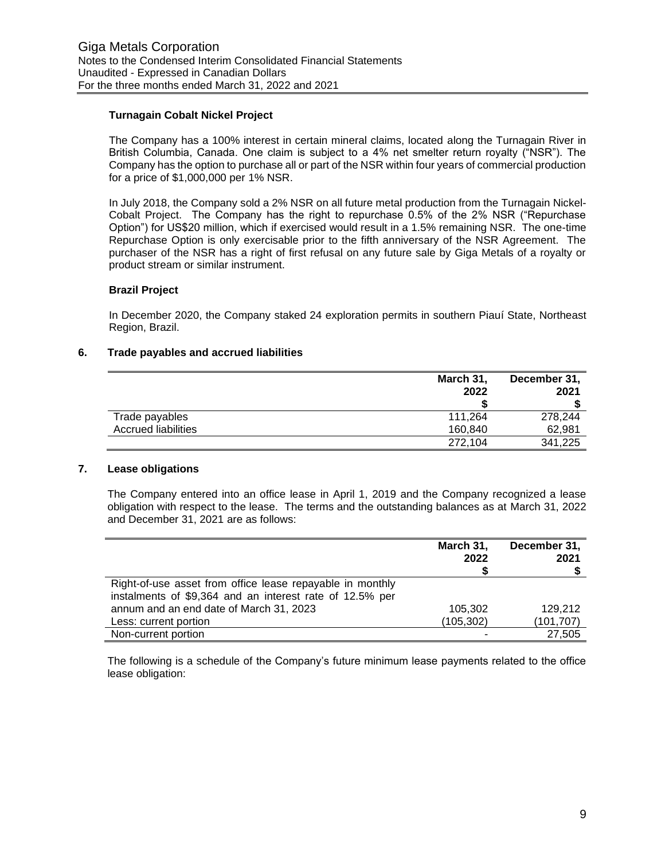## **Turnagain Cobalt Nickel Project**

The Company has a 100% interest in certain mineral claims, located along the Turnagain River in British Columbia, Canada. One claim is subject to a 4% net smelter return royalty ("NSR"). The Company has the option to purchase all or part of the NSR within four years of commercial production for a price of \$1,000,000 per 1% NSR.

In July 2018, the Company sold a 2% NSR on all future metal production from the Turnagain Nickel-Cobalt Project. The Company has the right to repurchase 0.5% of the 2% NSR ("Repurchase Option") for US\$20 million, which if exercised would result in a 1.5% remaining NSR. The one-time Repurchase Option is only exercisable prior to the fifth anniversary of the NSR Agreement. The purchaser of the NSR has a right of first refusal on any future sale by Giga Metals of a royalty or product stream or similar instrument.

#### **Brazil Project**

In December 2020, the Company staked 24 exploration permits in southern Piauí State, Northeast Region, Brazil.

#### **6. Trade payables and accrued liabilities**

|                            | March 31, | December 31, |  |  |
|----------------------------|-----------|--------------|--|--|
|                            | 2022      | 2021         |  |  |
|                            |           |              |  |  |
| Trade payables             | 111.264   | 278.244      |  |  |
| <b>Accrued liabilities</b> | 160.840   | 62,981       |  |  |
|                            | 272,104   | 341,225      |  |  |

## **7. Lease obligations**

The Company entered into an office lease in April 1, 2019 and the Company recognized a lease obligation with respect to the lease. The terms and the outstanding balances as at March 31, 2022 and December 31, 2021 are as follows:

|                                                           | March 31,  | December 31, |
|-----------------------------------------------------------|------------|--------------|
|                                                           | 2022       | 2021         |
|                                                           |            |              |
| Right-of-use asset from office lease repayable in monthly |            |              |
| instalments of \$9,364 and an interest rate of 12.5% per  |            |              |
| annum and an end date of March 31, 2023                   | 105.302    | 129.212      |
| Less: current portion                                     | (105, 302) | (101, 707)   |
| Non-current portion                                       |            | 27,505       |

The following is a schedule of the Company's future minimum lease payments related to the office lease obligation: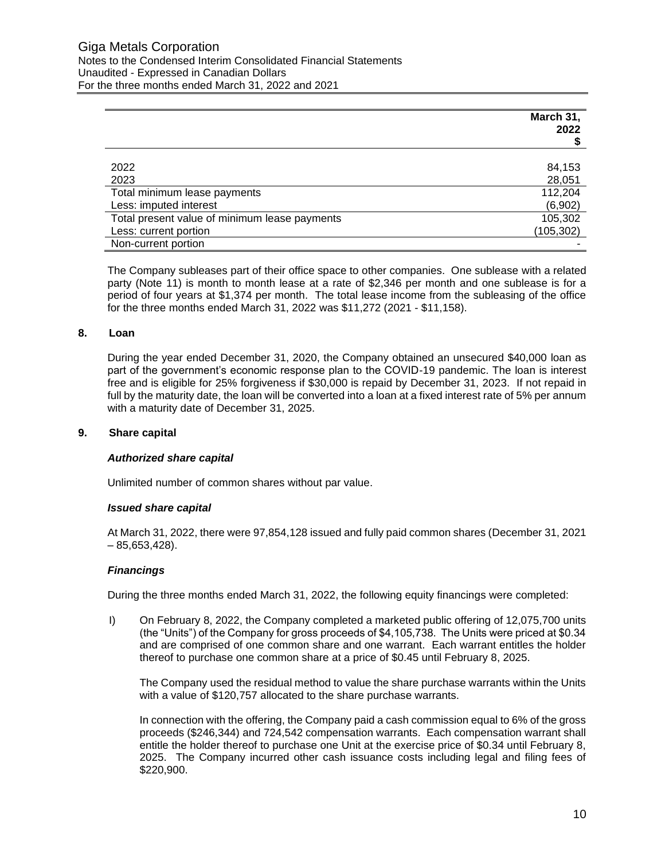|                                               | March 31,<br>2022 |
|-----------------------------------------------|-------------------|
| 2022                                          | 84,153            |
| 2023                                          | 28,051            |
| Total minimum lease payments                  | 112,204           |
| Less: imputed interest                        | (6,902)           |
| Total present value of minimum lease payments | 105,302           |
| Less: current portion                         | (105, 302)        |
| Non-current portion                           |                   |

The Company subleases part of their office space to other companies. One sublease with a related party (Note 11) is month to month lease at a rate of \$2,346 per month and one sublease is for a period of four years at \$1,374 per month. The total lease income from the subleasing of the office for the three months ended March 31, 2022 was \$11,272 (2021 - \$11,158).

## **8. Loan**

During the year ended December 31, 2020, the Company obtained an unsecured \$40,000 loan as part of the government's economic response plan to the COVID-19 pandemic. The loan is interest free and is eligible for 25% forgiveness if \$30,000 is repaid by December 31, 2023. If not repaid in full by the maturity date, the loan will be converted into a loan at a fixed interest rate of 5% per annum with a maturity date of December 31, 2025.

## **9. Share capital**

## *Authorized share capital*

Unlimited number of common shares without par value.

## *Issued share capital*

At March 31, 2022, there were 97,854,128 issued and fully paid common shares (December 31, 2021  $-85.653.428$ .

## *Financings*

During the three months ended March 31, 2022, the following equity financings were completed:

I) On February 8, 2022, the Company completed a marketed public offering of 12,075,700 units (the "Units") of the Company for gross proceeds of \$4,105,738. The Units were priced at \$0.34 and are comprised of one common share and one warrant. Each warrant entitles the holder thereof to purchase one common share at a price of \$0.45 until February 8, 2025.

The Company used the residual method to value the share purchase warrants within the Units with a value of \$120,757 allocated to the share purchase warrants.

In connection with the offering, the Company paid a cash commission equal to 6% of the gross proceeds (\$246,344) and 724,542 compensation warrants. Each compensation warrant shall entitle the holder thereof to purchase one Unit at the exercise price of \$0.34 until February 8, 2025. The Company incurred other cash issuance costs including legal and filing fees of \$220,900.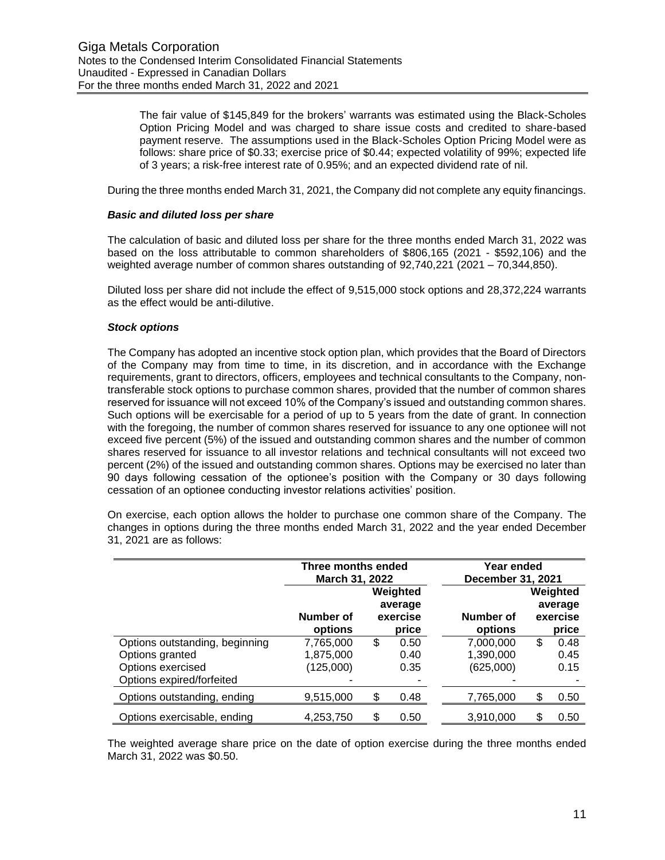The fair value of \$145,849 for the brokers' warrants was estimated using the Black-Scholes Option Pricing Model and was charged to share issue costs and credited to share-based payment reserve. The assumptions used in the Black-Scholes Option Pricing Model were as follows: share price of \$0.33; exercise price of \$0.44; expected volatility of 99%; expected life of 3 years; a risk-free interest rate of 0.95%; and an expected dividend rate of nil.

During the three months ended March 31, 2021, the Company did not complete any equity financings.

#### *Basic and diluted loss per share*

The calculation of basic and diluted loss per share for the three months ended March 31, 2022 was based on the loss attributable to common shareholders of \$806,165 (2021 - \$592,106) and the weighted average number of common shares outstanding of 92,740,221 (2021 – 70,344,850).

Diluted loss per share did not include the effect of 9,515,000 stock options and 28,372,224 warrants as the effect would be anti-dilutive.

#### *Stock options*

The Company has adopted an incentive stock option plan, which provides that the Board of Directors of the Company may from time to time, in its discretion, and in accordance with the Exchange requirements, grant to directors, officers, employees and technical consultants to the Company, nontransferable stock options to purchase common shares, provided that the number of common shares reserved for issuance will not exceed 10% of the Company's issued and outstanding common shares. Such options will be exercisable for a period of up to 5 years from the date of grant. In connection with the foregoing, the number of common shares reserved for issuance to any one optionee will not exceed five percent (5%) of the issued and outstanding common shares and the number of common shares reserved for issuance to all investor relations and technical consultants will not exceed two percent (2%) of the issued and outstanding common shares. Options may be exercised no later than 90 days following cessation of the optionee's position with the Company or 30 days following cessation of an optionee conducting investor relations activities' position.

On exercise, each option allows the holder to purchase one common share of the Company. The changes in options during the three months ended March 31, 2022 and the year ended December 31, 2021 are as follows:

|                                                                                                     | Three months ended<br>March 31, 2022 |    |                                          | Year ended<br>December 31, 2021     |    |                                          |
|-----------------------------------------------------------------------------------------------------|--------------------------------------|----|------------------------------------------|-------------------------------------|----|------------------------------------------|
|                                                                                                     | Number of<br>options                 |    | Weighted<br>average<br>exercise<br>price | Number of<br>options                |    | Weighted<br>average<br>exercise<br>price |
| Options outstanding, beginning<br>Options granted<br>Options exercised<br>Options expired/forfeited | 7,765,000<br>1,875,000<br>(125,000)  | \$ | 0.50<br>0.40<br>0.35<br>۰                | 7,000,000<br>1,390,000<br>(625,000) | \$ | 0.48<br>0.45<br>0.15                     |
| Options outstanding, ending                                                                         | 9,515,000                            | \$ | 0.48                                     | 7,765,000                           | S  | 0.50                                     |
| Options exercisable, ending                                                                         | 4,253,750                            | \$ | 0.50                                     | 3,910,000                           |    | 0.50                                     |

The weighted average share price on the date of option exercise during the three months ended March 31, 2022 was \$0.50.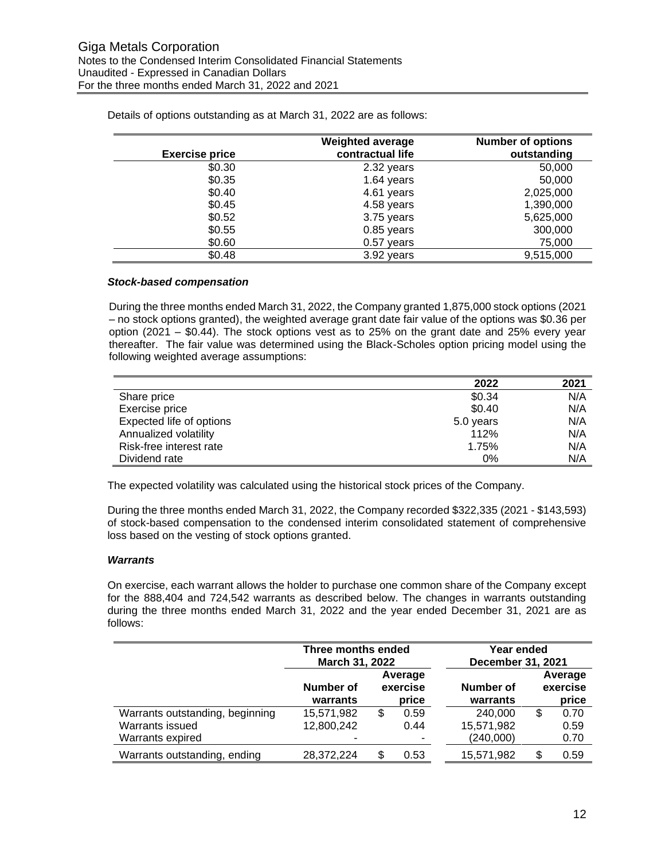|                       | <b>Weighted average</b> | <b>Number of options</b> |
|-----------------------|-------------------------|--------------------------|
| <b>Exercise price</b> | contractual life        | outstanding              |
| \$0.30                | 2.32 years              | 50,000                   |
| \$0.35                | 1.64 years              | 50,000                   |
| \$0.40                | 4.61 years              | 2,025,000                |
| \$0.45                | 4.58 years              | 1,390,000                |
| \$0.52                | 3.75 years              | 5,625,000                |
| \$0.55                | 0.85 years              | 300,000                  |
| \$0.60                | $0.57$ years            | 75,000                   |
| \$0.48                | 3.92 years              | 9,515,000                |

Details of options outstanding as at March 31, 2022 are as follows:

## *Stock-based compensation*

During the three months ended March 31, 2022, the Company granted 1,875,000 stock options (2021 – no stock options granted), the weighted average grant date fair value of the options was \$0.36 per option (2021 – \$0.44). The stock options vest as to 25% on the grant date and 25% every year thereafter. The fair value was determined using the Black-Scholes option pricing model using the following weighted average assumptions:

|                          | 2022      | 2021 |
|--------------------------|-----------|------|
| Share price              | \$0.34    | N/A  |
| Exercise price           | \$0.40    | N/A  |
| Expected life of options | 5.0 years | N/A  |
| Annualized volatility    | 112%      | N/A  |
| Risk-free interest rate  | 1.75%     | N/A  |
| Dividend rate            | 0%        | N/A  |

The expected volatility was calculated using the historical stock prices of the Company.

During the three months ended March 31, 2022, the Company recorded \$322,335 (2021 - \$143,593) of stock-based compensation to the condensed interim consolidated statement of comprehensive loss based on the vesting of stock options granted.

#### *Warrants*

On exercise, each warrant allows the holder to purchase one common share of the Company except for the 888,404 and 724,542 warrants as described below. The changes in warrants outstanding during the three months ended March 31, 2022 and the year ended December 31, 2021 are as follows:

|                                 | Three months ended<br>March 31, 2022 |    | Year ended<br>December 31, 2021 |                       |    |                              |
|---------------------------------|--------------------------------------|----|---------------------------------|-----------------------|----|------------------------------|
|                                 | Number of<br>warrants                |    | Average<br>exercise<br>price    | Number of<br>warrants |    | Average<br>exercise<br>price |
| Warrants outstanding, beginning | 15,571,982                           | \$ | 0.59                            | 240,000               | \$ | 0.70                         |
| Warrants issued                 | 12,800,242                           |    | 0.44                            | 15,571,982            |    | 0.59                         |
| Warrants expired                |                                      |    |                                 | (240,000)             |    | 0.70                         |
| Warrants outstanding, ending    | 28,372,224                           | \$ | 0.53                            | 15,571,982            | \$ | 0.59                         |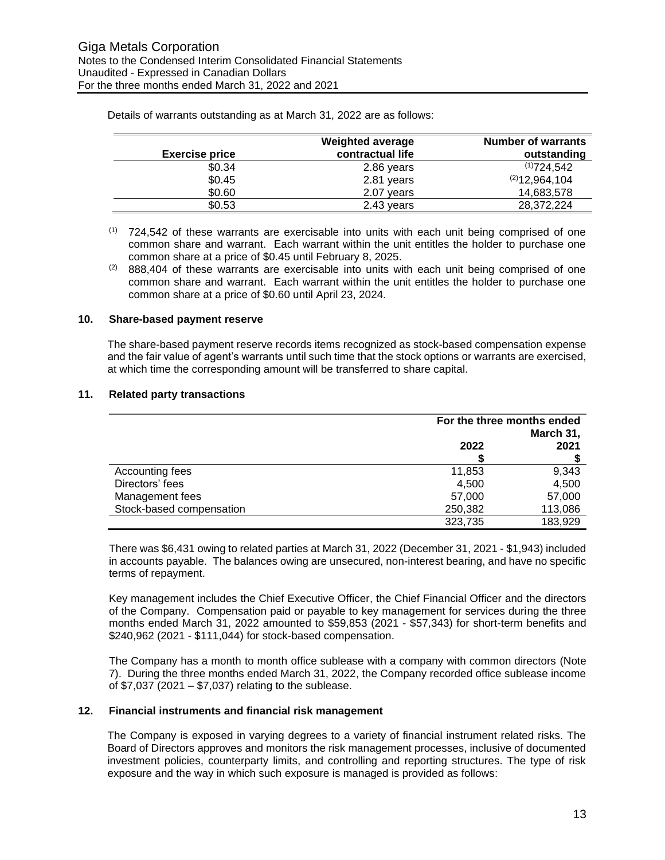| <b>Exercise price</b> | <b>Weighted average</b><br>contractual life | <b>Number of warrants</b><br>outstanding |
|-----------------------|---------------------------------------------|------------------------------------------|
| \$0.34                | 2.86 years                                  | (1)724,542                               |
| \$0.45                | 2.81 years                                  | (2)12,964,104                            |
| \$0.60                | 2.07 years                                  | 14,683,578                               |
| \$0.53                | 2.43 years                                  | 28,372,224                               |

Details of warrants outstanding as at March 31, 2022 are as follows:

## **10. Share-based payment reserve**

The share-based payment reserve records items recognized as stock-based compensation expense and the fair value of agent's warrants until such time that the stock options or warrants are exercised, at which time the corresponding amount will be transferred to share capital.

## **11. Related party transactions**

|                          | For the three months ended<br>March 31, |         |  |
|--------------------------|-----------------------------------------|---------|--|
|                          | 2022                                    | 2021    |  |
| Accounting fees          | 11,853                                  | 9,343   |  |
| Directors' fees          | 4,500                                   | 4,500   |  |
| Management fees          | 57,000                                  | 57,000  |  |
| Stock-based compensation | 250,382                                 | 113,086 |  |
|                          | 323,735                                 | 183,929 |  |

There was \$6,431 owing to related parties at March 31, 2022 (December 31, 2021 - \$1,943) included in accounts payable. The balances owing are unsecured, non-interest bearing, and have no specific terms of repayment.

Key management includes the Chief Executive Officer, the Chief Financial Officer and the directors of the Company. Compensation paid or payable to key management for services during the three months ended March 31, 2022 amounted to \$59,853 (2021 - \$57,343) for short-term benefits and \$240,962 (2021 - \$111,044) for stock-based compensation.

The Company has a month to month office sublease with a company with common directors (Note 7). During the three months ended March 31, 2022, the Company recorded office sublease income of \$7,037 (2021 – \$7,037) relating to the sublease.

## **12. Financial instruments and financial risk management**

The Company is exposed in varying degrees to a variety of financial instrument related risks. The Board of Directors approves and monitors the risk management processes, inclusive of documented investment policies, counterparty limits, and controlling and reporting structures. The type of risk exposure and the way in which such exposure is managed is provided as follows:

 $(1)$  724,542 of these warrants are exercisable into units with each unit being comprised of one common share and warrant. Each warrant within the unit entitles the holder to purchase one common share at a price of \$0.45 until February 8, 2025.

<sup>(2) 888,404</sup> of these warrants are exercisable into units with each unit being comprised of one common share and warrant. Each warrant within the unit entitles the holder to purchase one common share at a price of \$0.60 until April 23, 2024.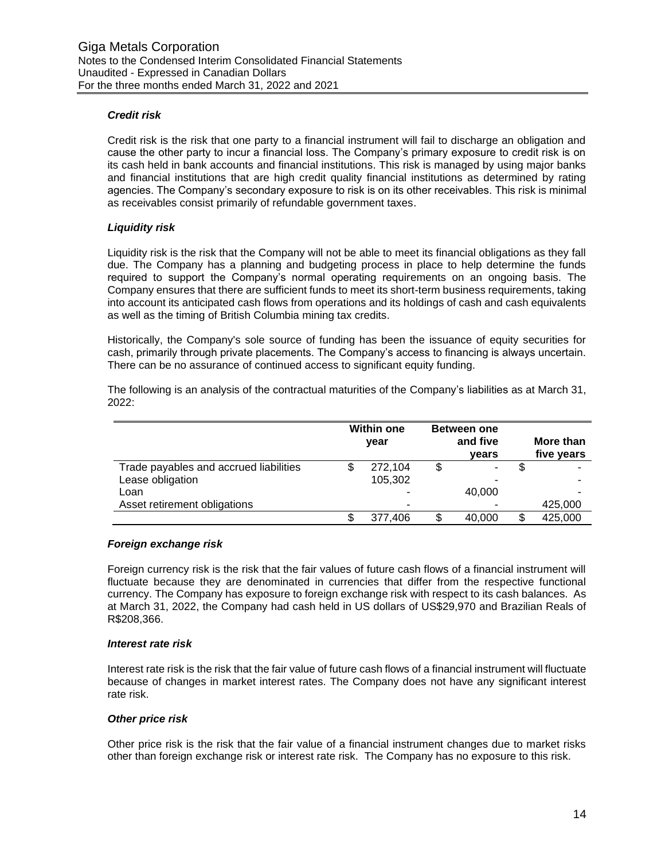## *Credit risk*

Credit risk is the risk that one party to a financial instrument will fail to discharge an obligation and cause the other party to incur a financial loss. The Company's primary exposure to credit risk is on its cash held in bank accounts and financial institutions. This risk is managed by using major banks and financial institutions that are high credit quality financial institutions as determined by rating agencies. The Company's secondary exposure to risk is on its other receivables. This risk is minimal as receivables consist primarily of refundable government taxes.

## *Liquidity risk*

Liquidity risk is the risk that the Company will not be able to meet its financial obligations as they fall due. The Company has a planning and budgeting process in place to help determine the funds required to support the Company's normal operating requirements on an ongoing basis. The Company ensures that there are sufficient funds to meet its short-term business requirements, taking into account its anticipated cash flows from operations and its holdings of cash and cash equivalents as well as the timing of British Columbia mining tax credits.

Historically, the Company's sole source of funding has been the issuance of equity securities for cash, primarily through private placements. The Company's access to financing is always uncertain. There can be no assurance of continued access to significant equity funding.

|                                        | <b>Within one</b><br>year |         | <b>Between one</b><br>and five<br>years |        |   |         |  | More than<br>five years |
|----------------------------------------|---------------------------|---------|-----------------------------------------|--------|---|---------|--|-------------------------|
| Trade payables and accrued liabilities |                           | 272,104 |                                         |        | S |         |  |                         |
| Lease obligation                       |                           | 105,302 |                                         |        |   |         |  |                         |
| Loan                                   |                           |         |                                         | 40,000 |   |         |  |                         |
| Asset retirement obligations           |                           | -       |                                         |        |   | 425,000 |  |                         |
|                                        |                           | 377.406 |                                         | 40.000 | S | 425,000 |  |                         |

The following is an analysis of the contractual maturities of the Company's liabilities as at March 31, 2022:

## *Foreign exchange risk*

Foreign currency risk is the risk that the fair values of future cash flows of a financial instrument will fluctuate because they are denominated in currencies that differ from the respective functional currency. The Company has exposure to foreign exchange risk with respect to its cash balances. As at March 31, 2022, the Company had cash held in US dollars of US\$29,970 and Brazilian Reals of R\$208,366.

#### *Interest rate risk*

Interest rate risk is the risk that the fair value of future cash flows of a financial instrument will fluctuate because of changes in market interest rates. The Company does not have any significant interest rate risk.

## *Other price risk*

Other price risk is the risk that the fair value of a financial instrument changes due to market risks other than foreign exchange risk or interest rate risk. The Company has no exposure to this risk.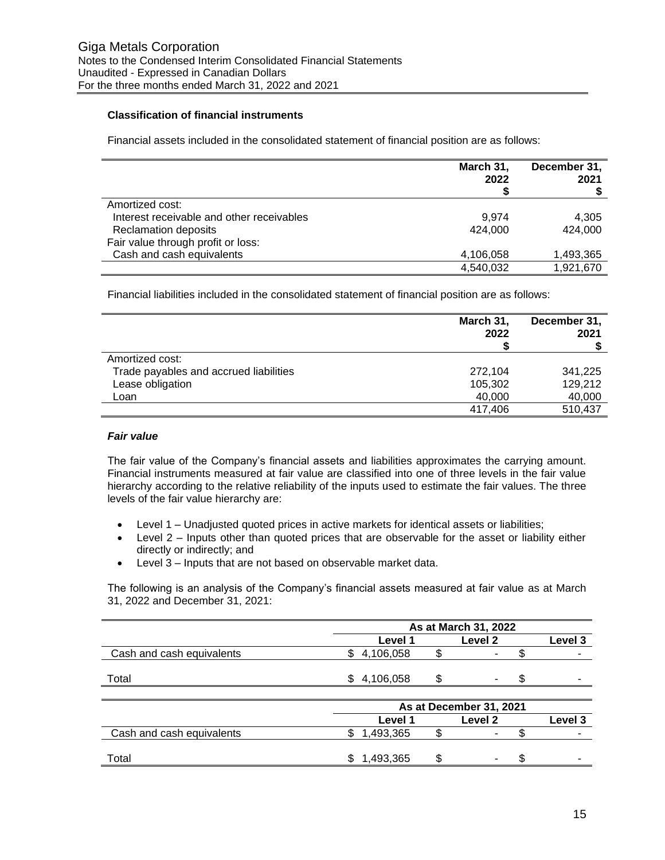## **Classification of financial instruments**

Financial assets included in the consolidated statement of financial position are as follows:

|                                           | March 31,<br>2022 | December 31,<br>2021 |
|-------------------------------------------|-------------------|----------------------|
|                                           |                   |                      |
| Amortized cost:                           |                   |                      |
| Interest receivable and other receivables | 9.974             | 4,305                |
| <b>Reclamation deposits</b>               | 424.000           | 424,000              |
| Fair value through profit or loss:        |                   |                      |
| Cash and cash equivalents                 | 4,106,058         | 1,493,365            |
|                                           | 4,540,032         | 1,921,670            |

Financial liabilities included in the consolidated statement of financial position are as follows:

|                                        | March 31,<br>2022 | December 31,<br>2021 |
|----------------------------------------|-------------------|----------------------|
| Amortized cost:                        |                   |                      |
| Trade payables and accrued liabilities | 272,104           | 341,225              |
| Lease obligation                       | 105,302           | 129,212              |
| Loan                                   | 40,000            | 40,000               |
|                                        | 417.406           | 510,437              |

## *Fair value*

The fair value of the Company's financial assets and liabilities approximates the carrying amount. Financial instruments measured at fair value are classified into one of three levels in the fair value hierarchy according to the relative reliability of the inputs used to estimate the fair values. The three levels of the fair value hierarchy are:

- Level 1 Unadjusted quoted prices in active markets for identical assets or liabilities;
- Level 2 Inputs other than quoted prices that are observable for the asset or liability either directly or indirectly; and
- Level 3 Inputs that are not based on observable market data.

The following is an analysis of the Company's financial assets measured at fair value as at March 31, 2022 and December 31, 2021:

|                           | As at March 31, 2022 |  |         |  |         |  |
|---------------------------|----------------------|--|---------|--|---------|--|
|                           | Level 1              |  | Level 2 |  | Level 3 |  |
| Cash and cash equivalents | 4,106,058            |  | -       |  |         |  |
| Total                     | 4,106,058            |  | -       |  |         |  |

|                           |                | As at December 31, 2021 |         |  |         |  |  |
|---------------------------|----------------|-------------------------|---------|--|---------|--|--|
|                           | Level 1        |                         | Level 2 |  | Level 3 |  |  |
| Cash and cash equivalents | ,493,365       |                         |         |  |         |  |  |
|                           |                |                         |         |  |         |  |  |
| Total                     | 1,493,365<br>S |                         |         |  |         |  |  |